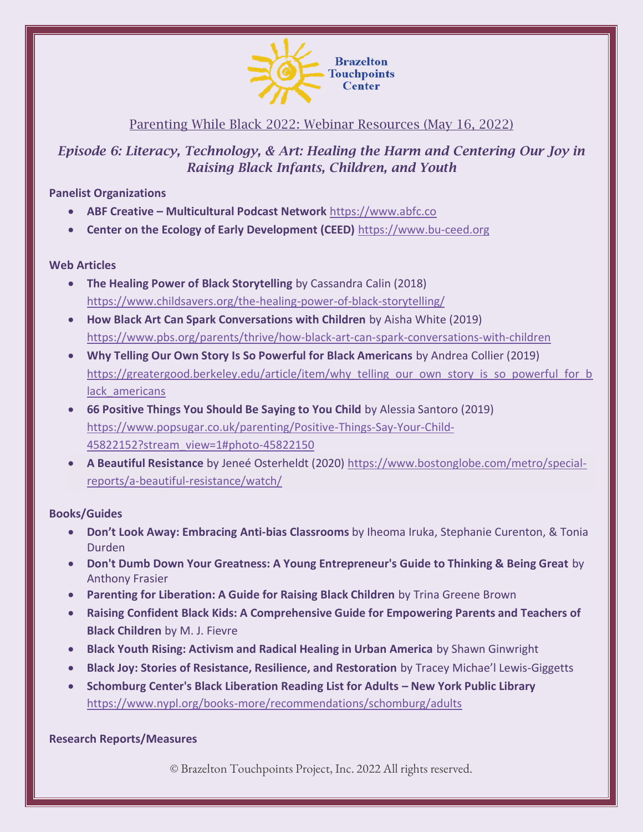

## Parenting While Black 2022: Webinar Resources (May 16, 2022)

# *Episode 6: Literacy, Technology, & Art: Healing the Harm and Centering Our Joy in Raising Black Infants, Children, and Youth*

### **Panelist Organizations**

- **ABF Creative – Multicultural Podcast Network** [https://www.abfc.co](https://www.abfc.co/)
- **Center on the Ecology of Early Development (CEED)** [https://www.bu-ceed.org](https://www.bu-ceed.org/)

### **Web Articles**

- **The Healing Power of Black Storytelling** by Cassandra Calin (2018) <https://www.childsavers.org/the-healing-power-of-black-storytelling/>
- **How Black Art Can Spark Conversations with Children** by Aisha White (2019) <https://www.pbs.org/parents/thrive/how-black-art-can-spark-conversations-with-children>
- **Why Telling Our Own Story Is So Powerful for Black Americans** by Andrea Collier (2019) [https://greatergood.berkeley.edu/article/item/why\\_telling\\_our\\_own\\_story\\_is\\_so\\_powerful\\_for\\_b](https://greatergood.berkeley.edu/article/item/why_telling_our_own_story_is_so_powerful_for_black_americans) lack americans
- **66 Positive Things You Should Be Saying to You Child** by Alessia Santoro (2019) [https://www.popsugar.co.uk/parenting/Positive-Things-Say-Your-Child-](https://www.popsugar.co.uk/parenting/Positive-Things-Say-Your-Child-45822152?stream_view=1#photo-45822150)[45822152?stream\\_view=1#photo-45822150](https://www.popsugar.co.uk/parenting/Positive-Things-Say-Your-Child-45822152?stream_view=1#photo-45822150)
- **A Beautiful Resistance** by Jeneé Osterheldt (2020) [https://www.bostonglobe.com/metro/special](https://www.bostonglobe.com/metro/special-reports/a-beautiful-resistance/watch/)[reports/a-beautiful-resistance/watch/](https://www.bostonglobe.com/metro/special-reports/a-beautiful-resistance/watch/)

### **Books/Guides**

- **Don't Look Away: Embracing Anti-bias Classrooms** by Iheoma Iruka, Stephanie Curenton, & Tonia Durden
- **Don't Dumb Down Your Greatness: A Young Entrepreneur's Guide to Thinking & Being Great** by Anthony Frasier
- **Parenting for Liberation: A Guide for Raising Black Children** by Trina Greene Brown
- **Raising Confident Black Kids: A Comprehensive Guide for Empowering Parents and Teachers of Black Children** by M. J. Fievre
- **Black Youth Rising: Activism and Radical Healing in Urban America** by Shawn Ginwright
- **Black Joy: Stories of Resistance, Resilience, and Restoration** by Tracey Michae'l Lewis-Giggetts
- **Schomburg Center's Black Liberation Reading List for Adults – New York Public Library**  <https://www.nypl.org/books-more/recommendations/schomburg/adults>

### **Research Reports/Measures**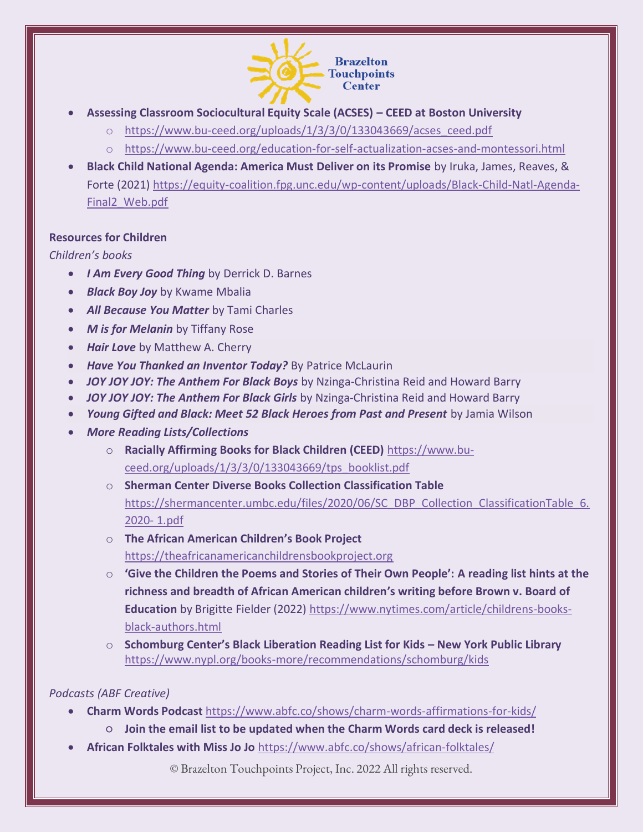

- **Assessing Classroom Sociocultural Equity Scale (ACSES) – CEED at Boston University**
	- o [https://www.bu-ceed.org/uploads/1/3/3/0/133043669/acses\\_ceed.pdf](https://www.bu-ceed.org/uploads/1/3/3/0/133043669/acses_ceed.pdf)
	- o <https://www.bu-ceed.org/education-for-self-actualization-acses-and-montessori.html>
- **Black Child National Agenda: America Must Deliver on its Promise** by Iruka, James, Reaves, & Forte (2021) [https://equity-coalition.fpg.unc.edu/wp-content/uploads/Black-Child-Natl-Agenda-](https://equity-coalition.fpg.unc.edu/wp-content/uploads/Black-Child-Natl-Agenda-Final2_Web.pdf)[Final2\\_Web.pdf](https://equity-coalition.fpg.unc.edu/wp-content/uploads/Black-Child-Natl-Agenda-Final2_Web.pdf)

### **Resources for Children**

#### *Children's books*

- *I Am Every Good Thing* by Derrick D. Barnes
- *Black Boy Joy* by Kwame Mbalia
- *All Because You Matter* by Tami Charles
- *M is for Melanin* by Tiffany Rose
- *Hair Love* by Matthew A. Cherry
- *Have You Thanked an Inventor Today?* By Patrice McLaurin
- *JOY JOY JOY: The Anthem For Black Boys* by Nzinga-Christina Reid and Howard Barry
- *JOY JOY JOY: The Anthem For Black Girls* by Nzinga-Christina Reid and Howard Barry
- Young Gifted and Black: Meet 52 Black Heroes from Past and Present by Jamia Wilson
- *More Reading Lists/Collections*
	- o **Racially Affirming Books for Black Children (CEED)** [https://www.bu](https://www.bu-ceed.org/uploads/1/3/3/0/133043669/tps_booklist.pdf)[ceed.org/uploads/1/3/3/0/133043669/tps\\_booklist.pdf](https://www.bu-ceed.org/uploads/1/3/3/0/133043669/tps_booklist.pdf)
	- o **Sherman Center Diverse Books Collection Classification Table**  [https://shermancenter.umbc.edu/files/2020/06/SC\\_DBP\\_Collection\\_ClassificationTable\\_6.](https://shermancenter.umbc.edu/files/2020/06/SC_DBP_Collection_ClassificationTable_6.2020-%201.pdf) [2020-](https://shermancenter.umbc.edu/files/2020/06/SC_DBP_Collection_ClassificationTable_6.2020-%201.pdf) 1.pdf
	- o **The African American Children's Book Project**  [https://theafricanamericanchildrensbookproject.org](https://theafricanamericanchildrensbookproject.org/)
	- o **'Give the Children the Poems and Stories of Their Own People': A reading list hints at the richness and breadth of African American children's writing before Brown v. Board of Education** by Brigitte Fielder (2022) [https://www.nytimes.com/article/childrens-books](https://www.nytimes.com/article/childrens-books-black-authors.html)[black-authors.html](https://www.nytimes.com/article/childrens-books-black-authors.html)
	- o **Schomburg Center's Black Liberation Reading List for Kids – New York Public Library** <https://www.nypl.org/books-more/recommendations/schomburg/kids>

### *Podcasts (ABF Creative)*

- **Charm Words Podcast** <https://www.abfc.co/shows/charm-words-affirmations-for-kids/>
	- **Join the email list to be updated when the Charm Words card deck is released!**
- **African Folktales with Miss Jo Jo** <https://www.abfc.co/shows/african-folktales/>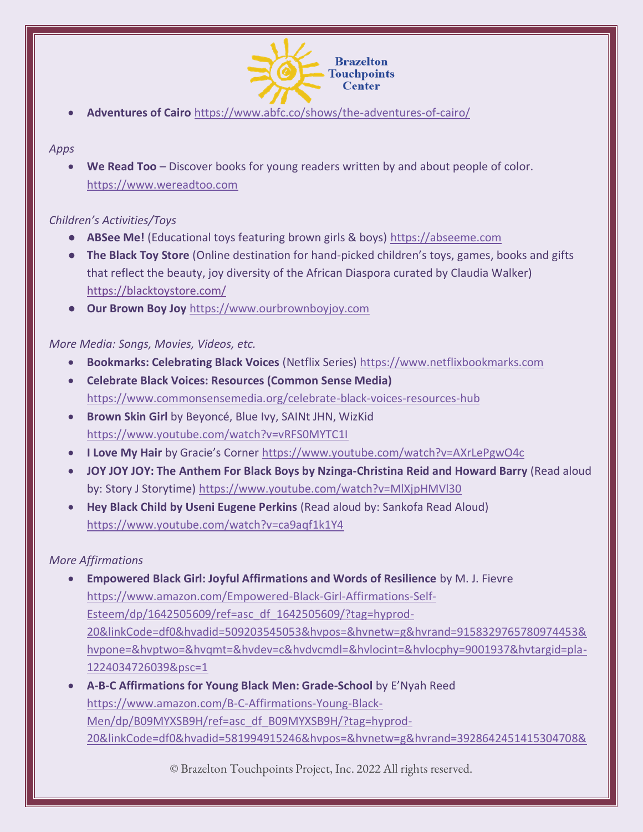

• **Adventures of Cairo** <https://www.abfc.co/shows/the-adventures-of-cairo/>

#### *Apps*

• **We Read Too** – Discover books for young readers written by and about people of color. [https://www.wereadtoo.com](https://www.wereadtoo.com/)

## *Children's Activities/Toys*

- **ABSee Me!** (Educational toys featuring brown girls & boys) [https://abseeme.com](https://abseeme.com/)
- **The Black Toy Store** (Online destination for hand-picked children's toys, games, books and gifts that reflect the beauty, joy diversity of the African Diaspora curated by Claudia Walker) <https://blacktoystore.com/>
- **Our Brown Boy Joy** [https://www.ourbrownboyjoy.com](https://www.ourbrownboyjoy.com/)

*More Media: Songs, Movies, Videos, etc.*

- **Bookmarks: Celebrating Black Voices** (Netflix Series) [https://www.netflixbookmarks.com](https://www.netflixbookmarks.com/)
- **Celebrate Black Voices: Resources (Common Sense Media)**  <https://www.commonsensemedia.org/celebrate-black-voices-resources-hub>
- **Brown Skin Girl** by Beyoncé, Blue Ivy, SAINt JHN, WizKid <https://www.youtube.com/watch?v=vRFS0MYTC1I>
- **I Love My Hair** by Gracie's Corner <https://www.youtube.com/watch?v=AXrLePgwO4c>
- **JOY JOY JOY: The Anthem For Black Boys by Nzinga-Christina Reid and Howard Barry** (Read aloud by: Story J Storytime)<https://www.youtube.com/watch?v=MlXjpHMVl30>
- **Hey Black Child by Useni Eugene Perkins** (Read aloud by: Sankofa Read Aloud) <https://www.youtube.com/watch?v=ca9aqf1k1Y4>

### *More Affirmations*

- **Empowered Black Girl: Joyful Affirmations and Words of Resilience** by M. J. Fievre [https://www.amazon.com/Empowered-Black-Girl-Affirmations-Self-](https://www.amazon.com/Empowered-Black-Girl-Affirmations-Self-Esteem/dp/1642505609/ref=asc_df_1642505609/?tag=hyprod-20&linkCode=df0&hvadid=509203545053&hvpos=&hvnetw=g&hvrand=9158329765780974453&hvpone=&hvptwo=&hvqmt=&hvdev=c&hvdvcmdl=&hvlocint=&hvlocphy=9001937&hvtargid=pla-1224034726039&psc=1)[Esteem/dp/1642505609/ref=asc\\_df\\_1642505609/?tag=hyprod-](https://www.amazon.com/Empowered-Black-Girl-Affirmations-Self-Esteem/dp/1642505609/ref=asc_df_1642505609/?tag=hyprod-20&linkCode=df0&hvadid=509203545053&hvpos=&hvnetw=g&hvrand=9158329765780974453&hvpone=&hvptwo=&hvqmt=&hvdev=c&hvdvcmdl=&hvlocint=&hvlocphy=9001937&hvtargid=pla-1224034726039&psc=1)[20&linkCode=df0&hvadid=509203545053&hvpos=&hvnetw=g&hvrand=9158329765780974453&](https://www.amazon.com/Empowered-Black-Girl-Affirmations-Self-Esteem/dp/1642505609/ref=asc_df_1642505609/?tag=hyprod-20&linkCode=df0&hvadid=509203545053&hvpos=&hvnetw=g&hvrand=9158329765780974453&hvpone=&hvptwo=&hvqmt=&hvdev=c&hvdvcmdl=&hvlocint=&hvlocphy=9001937&hvtargid=pla-1224034726039&psc=1) [hvpone=&hvptwo=&hvqmt=&hvdev=c&hvdvcmdl=&hvlocint=&hvlocphy=9001937&hvtargid=pla-](https://www.amazon.com/Empowered-Black-Girl-Affirmations-Self-Esteem/dp/1642505609/ref=asc_df_1642505609/?tag=hyprod-20&linkCode=df0&hvadid=509203545053&hvpos=&hvnetw=g&hvrand=9158329765780974453&hvpone=&hvptwo=&hvqmt=&hvdev=c&hvdvcmdl=&hvlocint=&hvlocphy=9001937&hvtargid=pla-1224034726039&psc=1)[1224034726039&psc=1](https://www.amazon.com/Empowered-Black-Girl-Affirmations-Self-Esteem/dp/1642505609/ref=asc_df_1642505609/?tag=hyprod-20&linkCode=df0&hvadid=509203545053&hvpos=&hvnetw=g&hvrand=9158329765780974453&hvpone=&hvptwo=&hvqmt=&hvdev=c&hvdvcmdl=&hvlocint=&hvlocphy=9001937&hvtargid=pla-1224034726039&psc=1)
- **A-B-C Affirmations for Young Black Men: Grade-School** by E'Nyah Reed [https://www.amazon.com/B-C-Affirmations-Young-Black-](https://www.amazon.com/B-C-Affirmations-Young-Black-Men/dp/B09MYXSB9H/ref=asc_df_B09MYXSB9H/?tag=hyprod-20&linkCode=df0&hvadid=581994915246&hvpos=&hvnetw=g&hvrand=3928642451415304708&hvpone=&hvptwo=&hvqmt=&hvdev=c&hvdvcmdl=&hvlocint=&hvlocphy=9001937&hvtargid=pla-1699112831647&psc=1)[Men/dp/B09MYXSB9H/ref=asc\\_df\\_B09MYXSB9H/?tag=hyprod-](https://www.amazon.com/B-C-Affirmations-Young-Black-Men/dp/B09MYXSB9H/ref=asc_df_B09MYXSB9H/?tag=hyprod-20&linkCode=df0&hvadid=581994915246&hvpos=&hvnetw=g&hvrand=3928642451415304708&hvpone=&hvptwo=&hvqmt=&hvdev=c&hvdvcmdl=&hvlocint=&hvlocphy=9001937&hvtargid=pla-1699112831647&psc=1)[20&linkCode=df0&hvadid=581994915246&hvpos=&hvnetw=g&hvrand=3928642451415304708&](https://www.amazon.com/B-C-Affirmations-Young-Black-Men/dp/B09MYXSB9H/ref=asc_df_B09MYXSB9H/?tag=hyprod-20&linkCode=df0&hvadid=581994915246&hvpos=&hvnetw=g&hvrand=3928642451415304708&hvpone=&hvptwo=&hvqmt=&hvdev=c&hvdvcmdl=&hvlocint=&hvlocphy=9001937&hvtargid=pla-1699112831647&psc=1)